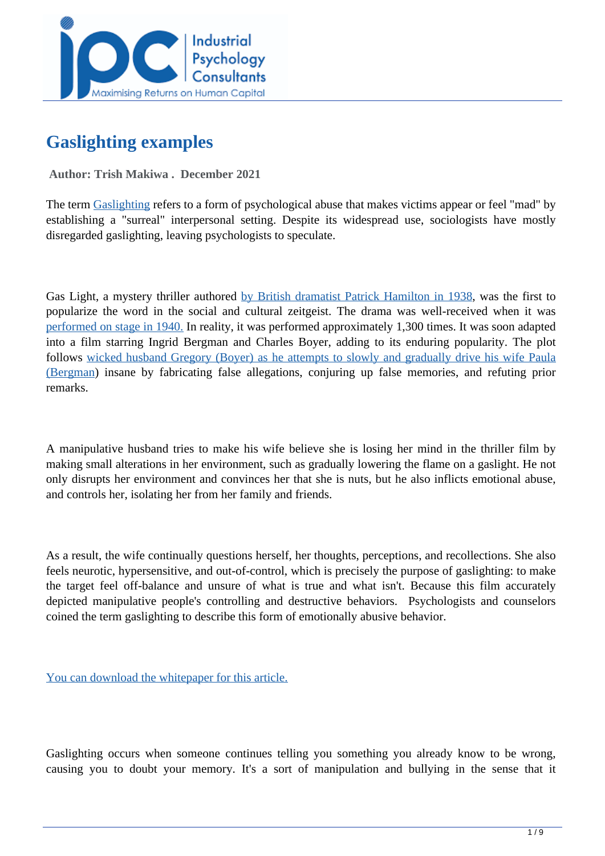

# **Gaslighting examples**

 **Author: Trish Makiwa . December 2021** 

The term [Gaslighting](../articles/What-To-Do-When-You-Have-A-Gas-Lighting-Manager) refers to a form of psychological abuse that makes victims appear or feel "mad" by establishing a "surreal" interpersonal setting. Despite its widespread use, sociologists have mostly disregarded gaslighting, leaving psychologists to speculate.

Gas Light, a mystery thriller authored [by British dramatist Patrick Hamilton in 1938,](https://www.purewow.com/wellness/gaslighting-at-work-common-signs) was the first to popularize the word in the social and cultural zeitgeist. The drama was well-received when it was [performed on stage in 1940.](https://www.verywellmind.com/is-someone-gaslighting-you-4147470) In reality, it was performed approximately 1,300 times. It was soon adapted into a film starring Ingrid Bergman and Charles Boyer, adding to its enduring popularity. The plot follows [wicked husband Gregory \(Boyer\) as he attempts to slowly and gradually drive his wife Paula](https://www.purewow.com/wellness/gaslighting-at-work-common-signs) [\(Bergman](https://www.purewow.com/wellness/gaslighting-at-work-common-signs)) insane by fabricating false allegations, conjuring up false memories, and refuting prior remarks.

A manipulative husband tries to make his wife believe she is losing her mind in the thriller film by making small alterations in her environment, such as gradually lowering the flame on a gaslight. He not only disrupts her environment and convinces her that she is nuts, but he also inflicts emotional abuse, and controls her, isolating her from her family and friends.

As a result, the wife continually questions herself, her thoughts, perceptions, and recollections. She also feels neurotic, hypersensitive, and out-of-control, which is precisely the purpose of gaslighting: to make the target feel off-balance and unsure of what is true and what isn't. Because this film accurately depicted manipulative people's controlling and destructive behaviors. Psychologists and counselors coined the term gaslighting to describe this form of emotionally abusive behavior.

[You can download the whitepaper for this article.](../whitepapers/gaslighting-examples-)

Gaslighting occurs when someone continues telling you something you already know to be wrong, causing you to doubt your memory. It's a sort of manipulation and bullying in the sense that it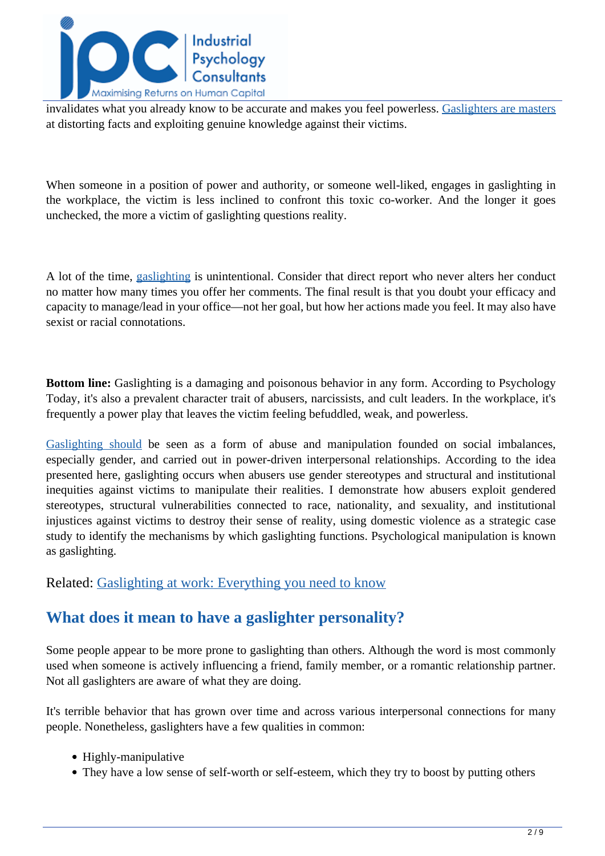

invalidates what you already know to be accurate and makes you feel powerless. [Gaslighters are masters](https://www.businessinsider.com/how-to-recognize-gaslighting-at-work-how-to-stop-it-2020-9) at distorting facts and exploiting genuine knowledge against their victims.

When someone in a position of power and authority, or someone well-liked, engages in gaslighting in the workplace, the victim is less inclined to confront this toxic co-worker. And the longer it goes unchecked, the more a victim of gaslighting questions reality.

A lot of the time, [gaslighting](https://www.nationalbullyinghelpline.co.uk/gaslighting.html) is unintentional. Consider that direct report who never alters her conduct no matter how many times you offer her comments. The final result is that you doubt your efficacy and capacity to manage/lead in your office—not her goal, but how her actions made you feel. It may also have sexist or racial connotations.

**Bottom line:** Gaslighting is a damaging and poisonous behavior in any form. According to Psychology Today, it's also a prevalent character trait of abusers, narcissists, and cult leaders. In the workplace, it's frequently a power play that leaves the victim feeling befuddled, weak, and powerless.

[Gaslighting should](https://www.asanet.org/sites/default/files/attach/journals/oct19asrfeature.pdf) be seen as a form of abuse and manipulation founded on social imbalances, especially gender, and carried out in power-driven interpersonal relationships. According to the idea presented here, gaslighting occurs when abusers use gender stereotypes and structural and institutional inequities against victims to manipulate their realities. I demonstrate how abusers exploit gendered stereotypes, structural vulnerabilities connected to race, nationality, and sexuality, and institutional injustices against victims to destroy their sense of reality, using domestic violence as a strategic case study to identify the mechanisms by which gaslighting functions. Psychological manipulation is known as gaslighting.

#### Related: [Gaslighting at work: Everything you need to know](../articles/gaslighting-at-work-everything-you-need-to-know)

# **What does it mean to have a gaslighter personality?**

Some people appear to be more prone to gaslighting than others. Although the word is most commonly used when someone is actively influencing a friend, family member, or a romantic relationship partner. Not all gaslighters are aware of what they are doing.

It's terrible behavior that has grown over time and across various interpersonal connections for many people. Nonetheless, gaslighters have a few qualities in common:

- Highly-manipulative
- They have a low sense of self-worth or self-esteem, which they try to boost by putting others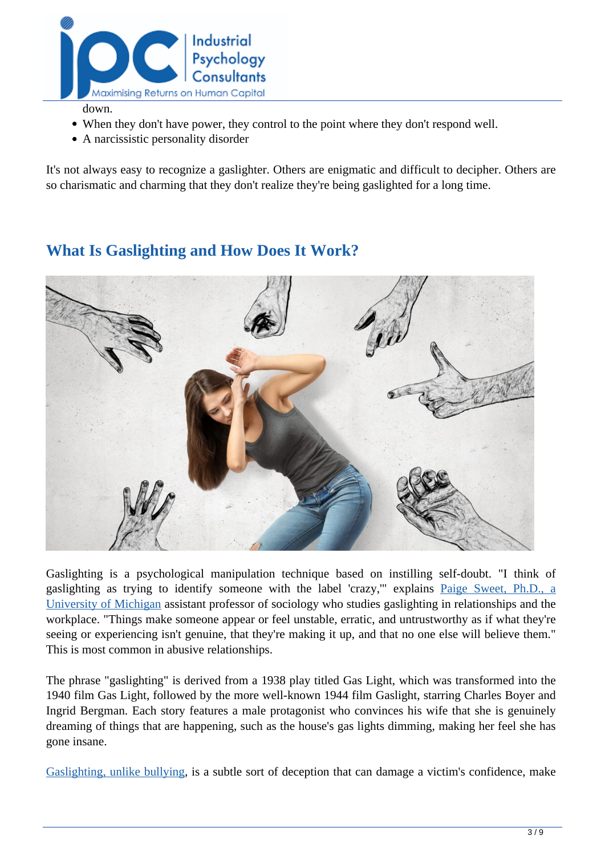

- down.
- When they don't have power, they control to the point where they don't respond well.
- A narcissistic personality disorder

It's not always easy to recognize a gaslighter. Others are enigmatic and difficult to decipher. Others are so charismatic and charming that they don't realize they're being gaslighted for a long time.

# **What Is Gaslighting and How Does It Work?**



Gaslighting is a psychological manipulation technique based on instilling self-doubt. "I think of gaslighting as trying to identify someone with the label 'crazy,'" explains [Paige Sweet, Ph.D., a](https://www.forbes.com/health/mind/what-is-gaslighting/) [University of Michigan](https://www.forbes.com/health/mind/what-is-gaslighting/) assistant professor of sociology who studies gaslighting in relationships and the workplace. "Things make someone appear or feel unstable, erratic, and untrustworthy as if what they're seeing or experiencing isn't genuine, that they're making it up, and that no one else will believe them." This is most common in abusive relationships.

The phrase "gaslighting" is derived from a 1938 play titled Gas Light, which was transformed into the 1940 film Gas Light, followed by the more well-known 1944 film Gaslight, starring Charles Boyer and Ingrid Bergman. Each story features a male protagonist who convinces his wife that she is genuinely dreaming of things that are happening, such as the house's gas lights dimming, making her feel she has gone insane.

[Gaslighting, unlike bullying,](https://www.smeweb.com/2019/04/02/gaslighting-in-the-workplace/) is a subtle sort of deception that can damage a victim's confidence, make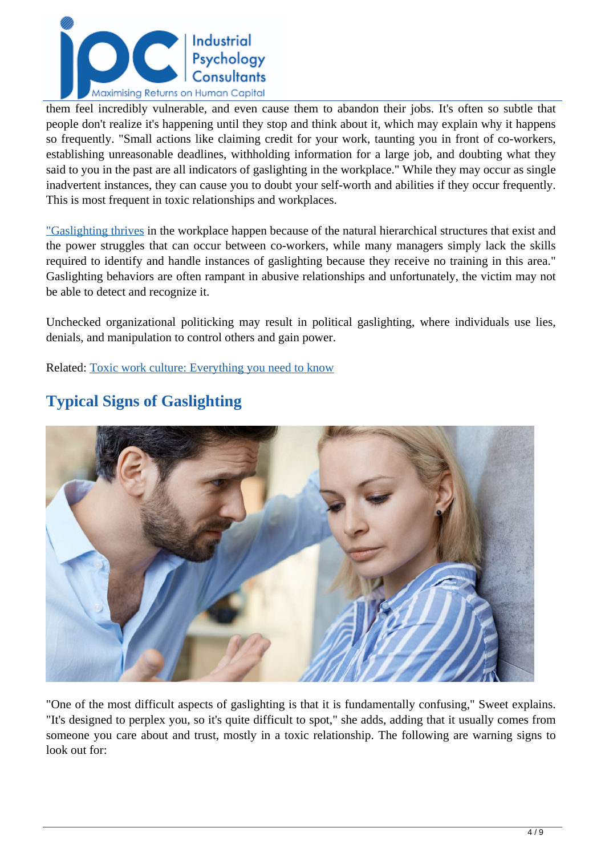

them feel incredibly vulnerable, and even cause them to abandon their jobs. It's often so subtle that people don't realize it's happening until they stop and think about it, which may explain why it happens so frequently. "Small actions like claiming credit for your work, taunting you in front of co-workers, establishing unreasonable deadlines, withholding information for a large job, and doubting what they said to you in the past are all indicators of gaslighting in the workplace." While they may occur as single inadvertent instances, they can cause you to doubt your self-worth and abilities if they occur frequently. This is most frequent in toxic relationships and workplaces.

["Gaslighting thrives](https://www.psychologytoday.com/us/blog/communication-success/202007/7-signs-gaslighting-the-workplace) in the workplace happen because of the natural hierarchical structures that exist and the power struggles that can occur between co-workers, while many managers simply lack the skills required to identify and handle instances of gaslighting because they receive no training in this area." Gaslighting behaviors are often rampant in abusive relationships and unfortunately, the victim may not be able to detect and recognize it.

Unchecked organizational politicking may result in political gaslighting, where individuals use lies, denials, and manipulation to control others and gain power.

Related: [Toxic work culture: Everything you need to know](../articles/Toxic-Work-Culture-Everything-You-Need-To-Know)



# **Typical Signs of Gaslighting**

"One of the most difficult aspects of gaslighting is that it is fundamentally confusing," Sweet explains. "It's designed to perplex you, so it's quite difficult to spot," she adds, adding that it usually comes from someone you care about and trust, mostly in a toxic relationship. The following are warning signs to look out for: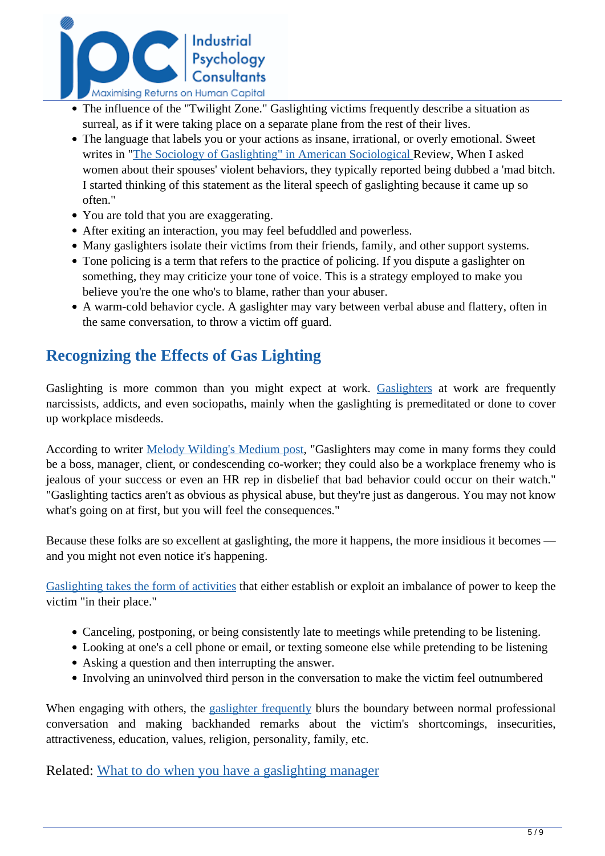

- The influence of the "Twilight Zone." Gaslighting victims frequently describe a situation as surreal, as if it were taking place on a separate plane from the rest of their lives.
- The language that labels you or your actions as insane, irrational, or overly emotional. Sweet writes in "[The Sociology of Gaslighting" in American Sociological R](https://www.forbes.com/health/mind/what-is-gaslighting/)eview, When I asked women about their spouses' violent behaviors, they typically reported being dubbed a 'mad bitch. I started thinking of this statement as the literal speech of gaslighting because it came up so often."
- You are told that you are exaggerating.
- After exiting an interaction, you may feel befuddled and powerless.
- Many gaslighters isolate their victims from their friends, family, and other support systems.
- Tone policing is a term that refers to the practice of policing. If you dispute a gaslighter on something, they may criticize your tone of voice. This is a strategy employed to make you believe you're the one who's to blame, rather than your abuser.
- A warm-cold behavior cycle. A gaslighter may vary between verbal abuse and flattery, often in the same conversation, to throw a victim off guard.

# **Recognizing the Effects of Gas Lighting**

Gaslighting is more common than you might expect at work. [Gaslighters](../articles/What-To-Do-When-You-Have-A-Gas-Lighting-Manager) at work are frequently narcissists, addicts, and even sociopaths, mainly when the gaslighting is premeditated or done to cover up workplace misdeeds.

According to writer [Melody Wilding's Medium post,](https://fairygodboss.com/career-topics/gaslighting-at-work) "Gaslighters may come in many forms they could be a boss, manager, client, or condescending co-worker; they could also be a workplace frenemy who is jealous of your success or even an HR rep in disbelief that bad behavior could occur on their watch." "Gaslighting tactics aren't as obvious as physical abuse, but they're just as dangerous. You may not know what's going on at first, but you will feel the consequences."

Because these folks are so excellent at gaslighting, the more it happens, the more insidious it becomes and you might not even notice it's happening.

[Gaslighting takes the form of activities](https://www.jucm.com/thats-not-what-happened-how-to-deal-with-gaslighting-in-the-workplace/) that either establish or exploit an imbalance of power to keep the victim "in their place."

- Canceling, postponing, or being consistently late to meetings while pretending to be listening.
- Looking at one's a cell phone or email, or texting someone else while pretending to be listening
- Asking a question and then interrupting the answer.
- Involving an uninvolved third person in the conversation to make the victim feel outnumbered

When engaging with others, the [gaslighter frequently](https://www.hrmonline.com.au/how-tos/gaslighting-at-work-how-do-you-manage-it/) blurs the boundary between normal professional conversation and making backhanded remarks about the victim's shortcomings, insecurities, attractiveness, education, values, religion, personality, family, etc.

Related: [What to do when you have a gaslighting manager](../articles/What-To-Do-When-You-Have-A-Gas-Lighting-Manager)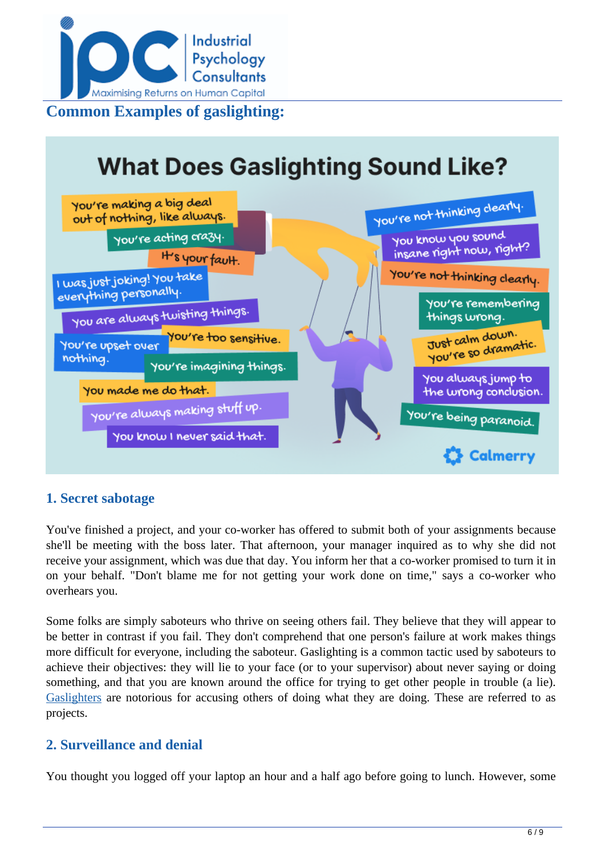

#### **What Does Gaslighting Sound Like?** You're not thinking clearly. You're making a big deal out of nothing, like always. You know you sound You're acting crazy. insane right now, right? H's your fault. You're not thinking clearly. I was just joking! You take everything personally You're remembering You are always twisting things. things wrong. Just calm down. ou're too sensitive. Just calm avermatic. You're upset over nothing. You're imagining things. You alwaysjump to You made me do that. the wrong conclusion. You're always making stuff up. You're being paranoid. You know I never said that. **Calmerry**

### **1. Secret sabotage**

You've finished a project, and your co-worker has offered to submit both of your assignments because she'll be meeting with the boss later. That afternoon, your manager inquired as to why she did not receive your assignment, which was due that day. You inform her that a co-worker promised to turn it in on your behalf. "Don't blame me for not getting your work done on time," says a co-worker who overhears you.

Some folks are simply saboteurs who thrive on seeing others fail. They believe that they will appear to be better in contrast if you fail. They don't comprehend that one person's failure at work makes things more difficult for everyone, including the saboteur. Gaslighting is a common tactic used by saboteurs to achieve their objectives: they will lie to your face (or to your supervisor) about never saying or doing something, and that you are known around the office for trying to get other people in trouble (a lie). [Gaslighters](https://www.mindbodygreen.com/articles/gaslighting-at-work-examples-and-what-to-do-about-it) are notorious for accusing others of doing what they are doing. These are referred to as projects.

### **2. Surveillance and denial**

You thought you logged off your laptop an hour and a half ago before going to lunch. However, some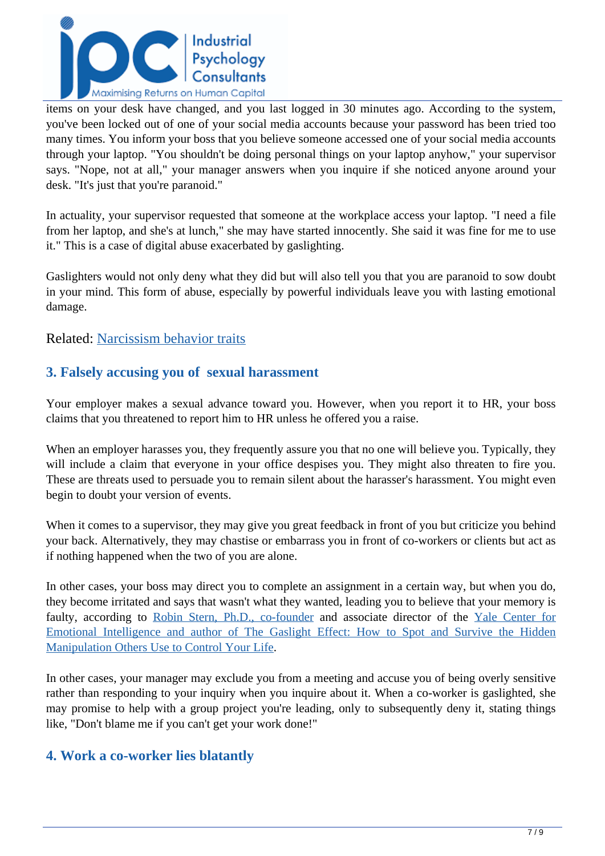

items on your desk have changed, and you last logged in 30 minutes ago. According to the system, you've been locked out of one of your social media accounts because your password has been tried too many times. You inform your boss that you believe someone accessed one of your social media accounts through your laptop. "You shouldn't be doing personal things on your laptop anyhow," your supervisor says. "Nope, not at all," your manager answers when you inquire if she noticed anyone around your desk. "It's just that you're paranoid."

In actuality, your supervisor requested that someone at the workplace access your laptop. "I need a file from her laptop, and she's at lunch," she may have started innocently. She said it was fine for me to use it." This is a case of digital abuse exacerbated by gaslighting.

Gaslighters would not only deny what they did but will also tell you that you are paranoid to sow doubt in your mind. This form of abuse, especially by powerful individuals leave you with lasting emotional damage.

#### Related: [Narcissism behavior traits](../articles/narcissism-behaviour-traits)

### **3. Falsely accusing you of sexual harassment**

Your employer makes a sexual advance toward you. However, when you report it to HR, your boss claims that you threatened to report him to HR unless he offered you a raise.

When an employer harasses you, they frequently assure you that no one will believe you. Typically, they will include a claim that everyone in your office despises you. They might also threaten to fire you. These are threats used to persuade you to remain silent about the harasser's harassment. You might even begin to doubt your version of events.

When it comes to a supervisor, they may give you great feedback in front of you but criticize you behind your back. Alternatively, they may chastise or embarrass you in front of co-workers or clients but act as if nothing happened when the two of you are alone.

In other cases, your boss may direct you to complete an assignment in a certain way, but when you do, they become irritated and says that wasn't what they wanted, leading you to believe that your memory is faulty, according to [Robin Stern, Ph.D., co-founder](https://www.psycom.net/gaslighting-at-work) and associate director of the [Yale Center for](https://www.psycom.net/gaslighting-at-work) [Emotional Intelligence and author of The Gaslight Effect: How to Spot and Survive the Hidden](https://www.psycom.net/gaslighting-at-work) [Manipulation Others Use to Control Your Life](https://www.psycom.net/gaslighting-at-work).

In other cases, your manager may exclude you from a meeting and accuse you of being overly sensitive rather than responding to your inquiry when you inquire about it. When a co-worker is gaslighted, she may promise to help with a group project you're leading, only to subsequently deny it, stating things like, "Don't blame me if you can't get your work done!"

#### **4. Work a co-worker lies blatantly**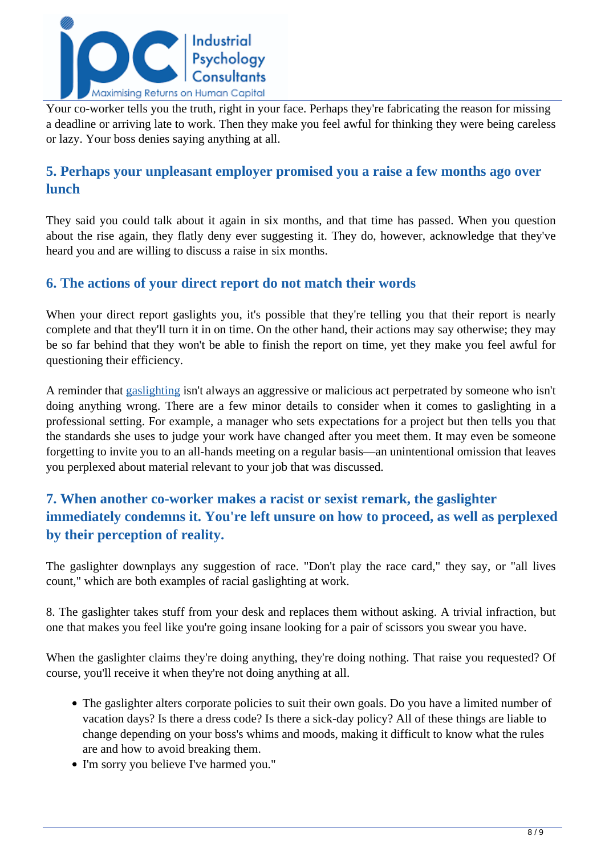

Your co-worker tells you the truth, right in your face. Perhaps they're fabricating the reason for missing a deadline or arriving late to work. Then they make you feel awful for thinking they were being careless or lazy. Your boss denies saying anything at all.

### **5. Perhaps your unpleasant employer promised you a raise a few months ago over lunch**

They said you could talk about it again in six months, and that time has passed. When you question about the rise again, they flatly deny ever suggesting it. They do, however, acknowledge that they've heard you and are willing to discuss a raise in six months.

### **6. The actions of your direct report do not match their words**

When your direct report gaslights you, it's possible that they're telling you that their report is nearly complete and that they'll turn it in on time. On the other hand, their actions may say otherwise; they may be so far behind that they won't be able to finish the report on time, yet they make you feel awful for questioning their efficiency.

A reminder that [gaslighting](https://www.nationalbullyinghelpline.co.uk/gaslighting.html) isn't always an aggressive or malicious act perpetrated by someone who isn't doing anything wrong. There are a few minor details to consider when it comes to gaslighting in a professional setting. For example, a manager who sets expectations for a project but then tells you that the standards she uses to judge your work have changed after you meet them. It may even be someone forgetting to invite you to an all-hands meeting on a regular basis—an unintentional omission that leaves you perplexed about material relevant to your job that was discussed.

## **7. When another co-worker makes a racist or sexist remark, the gaslighter immediately condemns it. You're left unsure on how to proceed, as well as perplexed by their perception of reality.**

The gaslighter downplays any suggestion of race. "Don't play the race card," they say, or "all lives count," which are both examples of racial gaslighting at work.

8. The gaslighter takes stuff from your desk and replaces them without asking. A trivial infraction, but one that makes you feel like you're going insane looking for a pair of scissors you swear you have.

When the gaslighter claims they're doing anything, they're doing nothing. That raise you requested? Of course, you'll receive it when they're not doing anything at all.

- The gaslighter alters corporate policies to suit their own goals. Do you have a limited number of vacation days? Is there a dress code? Is there a sick-day policy? All of these things are liable to change depending on your boss's whims and moods, making it difficult to know what the rules are and how to avoid breaking them.
- I'm sorry you believe I've harmed you."